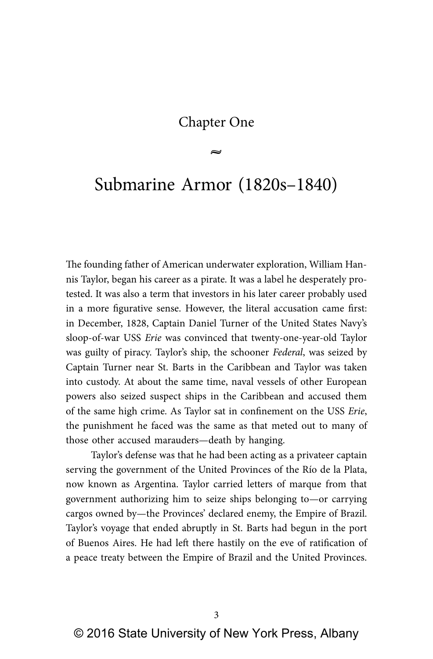## Chapter One

 $\approx$ 

# Submarine Armor (1820s–1840)

The founding father of American underwater exploration, William Hannis Taylor, began his career as a pirate. It was a label he desperately protested. It was also a term that investors in his later career probably used in a more figurative sense. However, the literal accusation came first: in December, 1828, Captain Daniel Turner of the United States Navy's sloop-of-war USS Erie was convinced that twenty-one-year-old Taylor was guilty of piracy. Taylor's ship, the schooner Federal, was seized by Captain Turner near St. Barts in the Caribbean and Taylor was taken into custody. At about the same time, naval vessels of other European powers also seized suspect ships in the Caribbean and accused them of the same high crime. As Taylor sat in confinement on the USS Erie, the punishment he faced was the same as that meted out to many of those other accused marauders—death by hanging.

Taylor's defense was that he had been acting as a privateer captain serving the government of the United Provinces of the Río de la Plata, now known as Argentina. Taylor carried letters of marque from that government authorizing him to seize ships belonging to—or carrying cargos owned by—the Provinces' declared enemy, the Empire of Brazil. Taylor's voyage that ended abruptly in St. Barts had begun in the port of Buenos Aires. He had left there hastily on the eve of ratification of a peace treaty between the Empire of Brazil and the United Provinces.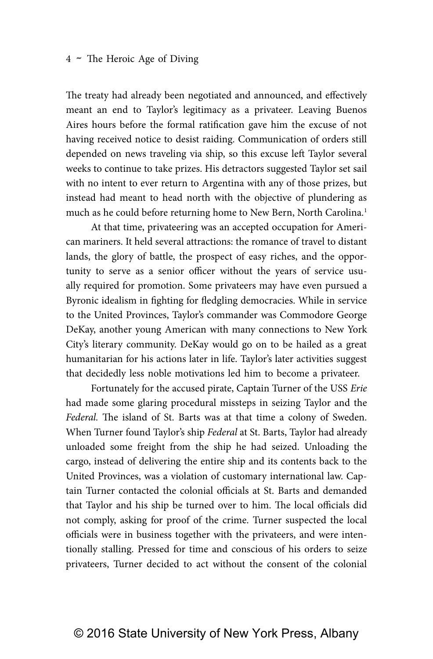### $4 \sim$  The Heroic Age of Diving

The treaty had already been negotiated and announced, and effectively meant an end to Taylor's legitimacy as a privateer. Leaving Buenos Aires hours before the formal ratification gave him the excuse of not having received notice to desist raiding. Communication of orders still depended on news traveling via ship, so this excuse left Taylor several weeks to continue to take prizes. His detractors suggested Taylor set sail with no intent to ever return to Argentina with any of those prizes, but instead had meant to head north with the objective of plundering as much as he could before returning home to New Bern, North Carolina.<sup>1</sup>

At that time, privateering was an accepted occupation for American mariners. It held several attractions: the romance of travel to distant lands, the glory of battle, the prospect of easy riches, and the opportunity to serve as a senior officer without the years of service usually required for promotion. Some privateers may have even pursued a Byronic idealism in fighting for fledgling democracies. While in service to the United Provinces, Taylor's commander was Commodore George DeKay, another young American with many connections to New York City's literary community. DeKay would go on to be hailed as a great humanitarian for his actions later in life. Taylor's later activities suggest that decidedly less noble motivations led him to become a privateer.

Fortunately for the accused pirate, Captain Turner of the USS Erie had made some glaring procedural missteps in seizing Taylor and the Federal. The island of St. Barts was at that time a colony of Sweden. When Turner found Taylor's ship Federal at St. Barts, Taylor had already unloaded some freight from the ship he had seized. Unloading the cargo, instead of delivering the entire ship and its contents back to the United Provinces, was a violation of customary international law. Captain Turner contacted the colonial officials at St. Barts and demanded that Taylor and his ship be turned over to him. The local officials did not comply, asking for proof of the crime. Turner suspected the local officials were in business together with the privateers, and were intentionally stalling. Pressed for time and conscious of his orders to seize privateers, Turner decided to act without the consent of the colonial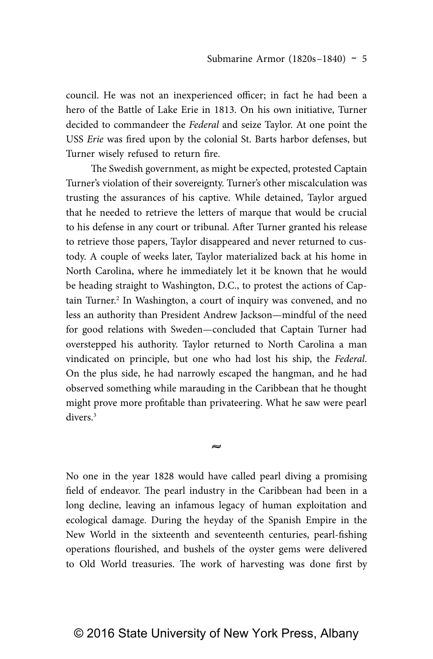council. He was not an inexperienced officer; in fact he had been a hero of the Battle of Lake Erie in 1813. On his own initiative, Turner decided to commandeer the Federal and seize Taylor. At one point the USS Erie was fired upon by the colonial St. Barts harbor defenses, but Turner wisely refused to return fire.

The Swedish government, as might be expected, protested Captain Turner's violation of their sovereignty. Turner's other miscalculation was trusting the assurances of his captive. While detained, Taylor argued that he needed to retrieve the letters of marque that would be crucial to his defense in any court or tribunal. After Turner granted his release to retrieve those papers, Taylor disappeared and never returned to custody. A couple of weeks later, Taylor materialized back at his home in North Carolina, where he immediately let it be known that he would be heading straight to Washington, D.C., to protest the actions of Captain Turner.<sup>2</sup> In Washington, a court of inquiry was convened, and no less an authority than President Andrew Jackson—mindful of the need for good relations with Sweden—concluded that Captain Turner had overstepped his authority. Taylor returned to North Carolina a man vindicated on principle, but one who had lost his ship, the Federal. On the plus side, he had narrowly escaped the hangman, and he had observed something while marauding in the Caribbean that he thought might prove more profitable than privateering. What he saw were pearl divers<sup>3</sup>

No one in the year 1828 would have called pearl diving a promising field of endeavor. The pearl industry in the Caribbean had been in a long decline, leaving an infamous legacy of human exploitation and ecological damage. During the heyday of the Spanish Empire in the New World in the sixteenth and seventeenth centuries, pearl-fishing operations flourished, and bushels of the oyster gems were delivered to Old World treasuries. The work of harvesting was done first by

 $\approx$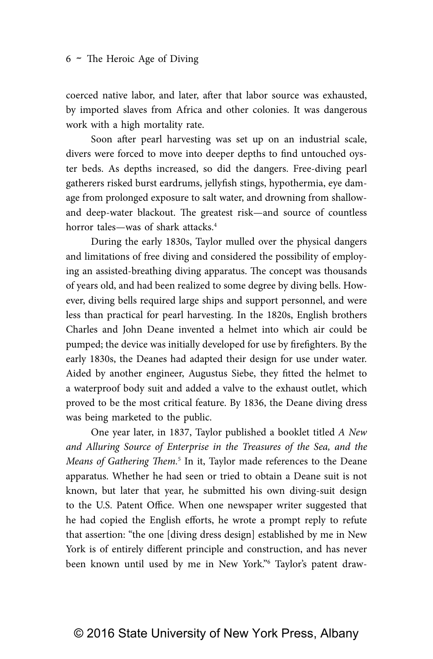### $6~\sim~$  The Heroic Age of Diving

coerced native labor, and later, after that labor source was exhausted, by imported slaves from Africa and other colonies. It was dangerous work with a high mortality rate.

Soon after pearl harvesting was set up on an industrial scale, divers were forced to move into deeper depths to find untouched oyster beds. As depths increased, so did the dangers. Free-diving pearl gatherers risked burst eardrums, jellyfish stings, hypothermia, eye damage from prolonged exposure to salt water, and drowning from shallowand deep-water blackout. The greatest risk—and source of countless horror tales—was of shark attacks.<sup>4</sup>

During the early 1830s, Taylor mulled over the physical dangers and limitations of free diving and considered the possibility of employing an assisted-breathing diving apparatus. The concept was thousands of years old, and had been realized to some degree by diving bells. However, diving bells required large ships and support personnel, and were less than practical for pearl harvesting. In the 1820s, English brothers Charles and John Deane invented a helmet into which air could be pumped; the device was initially developed for use by firefighters. By the early 1830s, the Deanes had adapted their design for use under water. Aided by another engineer, Augustus Siebe, they fitted the helmet to a waterproof body suit and added a valve to the exhaust outlet, which proved to be the most critical feature. By 1836, the Deane diving dress was being marketed to the public.

One year later, in 1837, Taylor published a booklet titled A New and Alluring Source of Enterprise in the Treasures of the Sea, and the Means of Gathering Them.<sup>5</sup> In it, Taylor made references to the Deane apparatus. Whether he had seen or tried to obtain a Deane suit is not known, but later that year, he submitted his own diving-suit design to the U.S. Patent Office. When one newspaper writer suggested that he had copied the English efforts, he wrote a prompt reply to refute that assertion: "the one [diving dress design] established by me in New York is of entirely different principle and construction, and has never been known until used by me in New York."6 Taylor's patent draw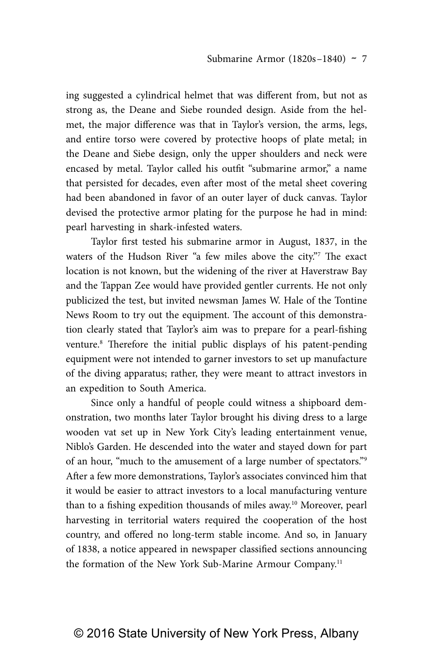ing suggested a cylindrical helmet that was different from, but not as strong as, the Deane and Siebe rounded design. Aside from the helmet, the major difference was that in Taylor's version, the arms, legs, and entire torso were covered by protective hoops of plate metal; in the Deane and Siebe design, only the upper shoulders and neck were encased by metal. Taylor called his outfit "submarine armor," a name that persisted for decades, even after most of the metal sheet covering had been abandoned in favor of an outer layer of duck canvas. Taylor devised the protective armor plating for the purpose he had in mind: pearl harvesting in shark-infested waters.

Taylor first tested his submarine armor in August, 1837, in the waters of the Hudson River "a few miles above the city."<sup>7</sup> The exact location is not known, but the widening of the river at Haverstraw Bay and the Tappan Zee would have provided gentler currents. He not only publicized the test, but invited newsman James W. Hale of the Tontine News Room to try out the equipment. The account of this demonstration clearly stated that Taylor's aim was to prepare for a pearl-fishing venture.<sup>8</sup> Therefore the initial public displays of his patent-pending equipment were not intended to garner investors to set up manufacture of the diving apparatus; rather, they were meant to attract investors in an expedition to South America.

Since only a handful of people could witness a shipboard demonstration, two months later Taylor brought his diving dress to a large wooden vat set up in New York City's leading entertainment venue, Niblo's Garden. He descended into the water and stayed down for part of an hour, "much to the amusement of a large number of spectators."9 After a few more demonstrations, Taylor's associates convinced him that it would be easier to attract investors to a local manufacturing venture than to a fishing expedition thousands of miles away.10 Moreover, pearl harvesting in territorial waters required the cooperation of the host country, and offered no long-term stable income. And so, in January of 1838, a notice appeared in newspaper classified sections announcing the formation of the New York Sub-Marine Armour Company.<sup>11</sup>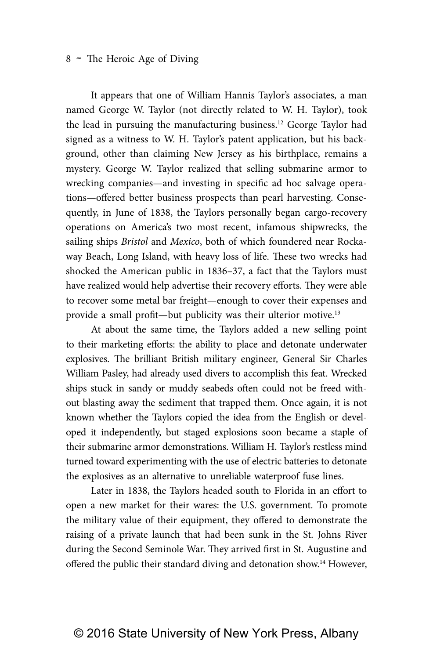### $8 \sim$  The Heroic Age of Diving

It appears that one of William Hannis Taylor's associates, a man named George W. Taylor (not directly related to W. H. Taylor), took the lead in pursuing the manufacturing business.12 George Taylor had signed as a witness to W. H. Taylor's patent application, but his background, other than claiming New Jersey as his birthplace, remains a mystery. George W. Taylor realized that selling submarine armor to wrecking companies—and investing in specific ad hoc salvage operations—offered better business prospects than pearl harvesting. Consequently, in June of 1838, the Taylors personally began cargo-recovery operations on America's two most recent, infamous shipwrecks, the sailing ships Bristol and Mexico, both of which foundered near Rockaway Beach, Long Island, with heavy loss of life. These two wrecks had shocked the American public in 1836–37, a fact that the Taylors must have realized would help advertise their recovery efforts. They were able to recover some metal bar freight—enough to cover their expenses and provide a small profit—but publicity was their ulterior motive.13

At about the same time, the Taylors added a new selling point to their marketing efforts: the ability to place and detonate underwater explosives. The brilliant British military engineer, General Sir Charles William Pasley, had already used divers to accomplish this feat. Wrecked ships stuck in sandy or muddy seabeds often could not be freed without blasting away the sediment that trapped them. Once again, it is not known whether the Taylors copied the idea from the English or developed it independently, but staged explosions soon became a staple of their submarine armor demonstrations. William H. Taylor's restless mind turned toward experimenting with the use of electric batteries to detonate the explosives as an alternative to unreliable waterproof fuse lines.

Later in 1838, the Taylors headed south to Florida in an effort to open a new market for their wares: the U.S. government. To promote the military value of their equipment, they offered to demonstrate the raising of a private launch that had been sunk in the St. Johns River during the Second Seminole War. They arrived first in St. Augustine and offered the public their standard diving and detonation show.14 However,